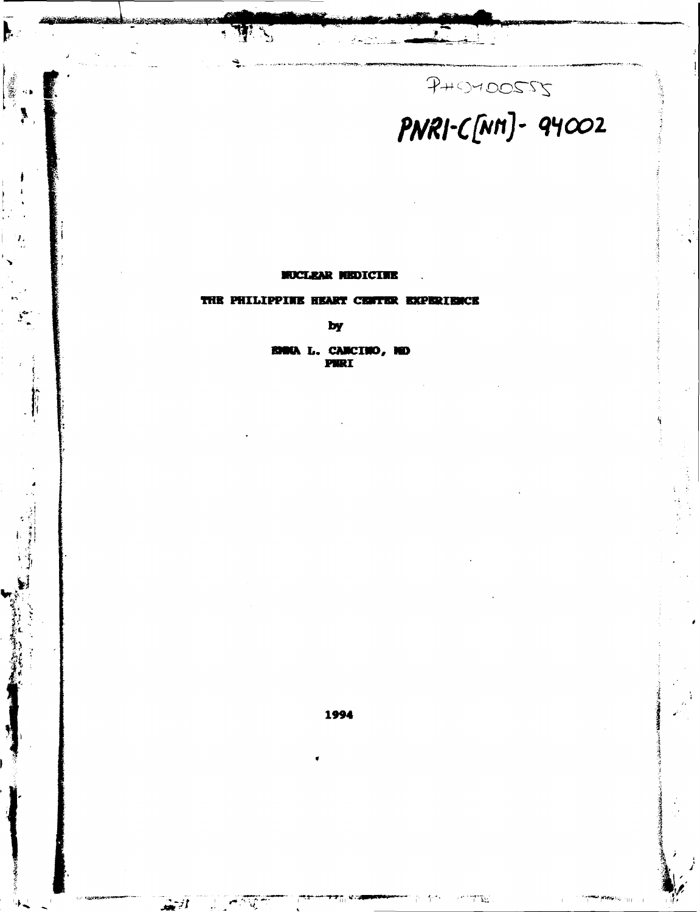# PHOMOOSSS<br>PNRI-C[NM]- 94002

#### **MOCLKAR HBDICIWB**

· TIS

**£** 

\*\* **\*\*\* • 1 -1** 

*I.* 

**f** 

*tr-b- : &\ tf •:*   $\sum_{i=1}^k$ 

#### **THE PHILIPPINK HEART CENTER EXPERIENCE**

by

**E.** CANCINO, NO<br>PNRI

**1994** 

**-K J** *J\*k ril "* fW\*!v. **u-**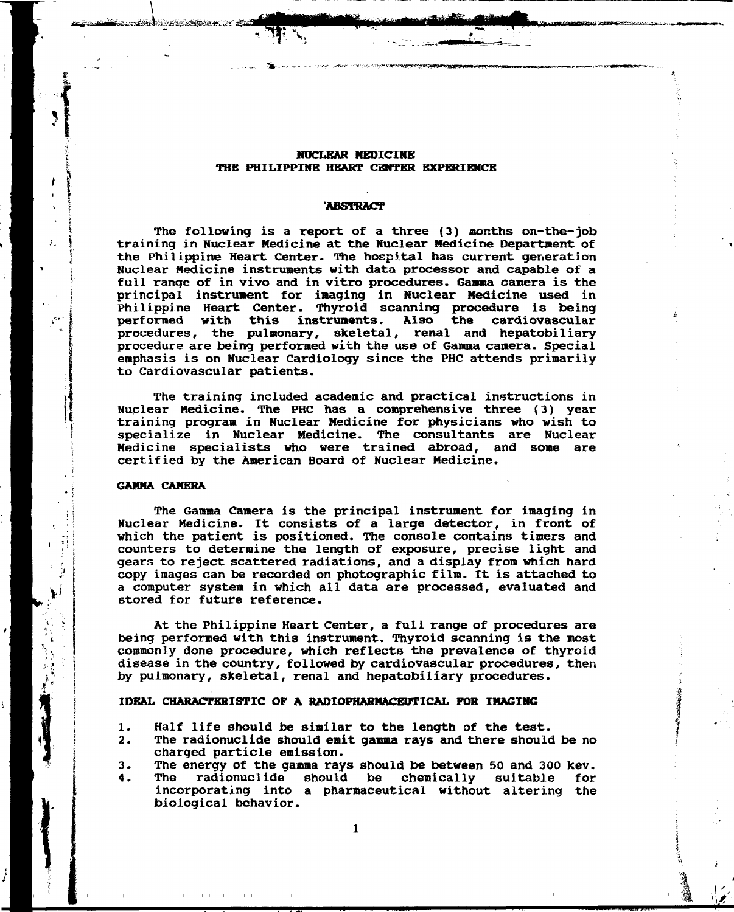#### **NUCLEAR MBDICIME THE PHILIPPINE HEART CENTER EXPERIENCE**

\*%, .-",. •\_. -.-r -i-,-^ *,.-r^,~.* ---^^irV^^V^JiroaE^^

#### **ABSTRACT**

**The following is a report of a three (3) months on-the-job training in Nuclear Medicine at the Nuclear Medicine Department of the Philippine Heart Center- The hospital has current generation Nuclear Medicine instruments with data processor and capable of a full range of in vivo and in vitro procedures. Gamma camera is the principal instrument for imaging in Nuclear Medicine used in Philippine Heart Center. Thyroid scanning procedure is being performed with this instruments. Also the cardiovascular procedures, the pulmonary, skeletal, renal and hepatobiliary procedure are being performed with the use of Gamma camera. Special emphasis is on Nuclear Cardiology since the PHC attends primarily to Cardiovascular patients.** 

**The training included academic and practical instructions in Nuclear Medicine. The PHC has a comprehensive three (3) year training program in Nuclear Medicine for physicians who wish to specialize in Nuclear Medicine. The consultants are Nuclear Medicine specialists who were trained abroad, and some are certified by the American Board of Nuclear Medicine.** 

#### **GAMMA CAMERA**

**The Gamma Camera is the principal instrument for imaging in Nuclear Medicine. It consists of a large detector, in front of which the patient is positioned. The console contains timers and counters to determine the length of exposure, precise light and gears to reject scattered radiations, and a display from which hard copy images can be recorded on photographic film. It is attached to a computer system in which all data are processed, evaluated and stored for future reference.** 

**At the Philippine Heart Center, a full range of procedures are being performed with this instrument. Thyroid scanning is the most commonly done procedure, which reflects the prevalence of thyroid disease in the country, followed by cardiovascular procedures, then by pulmonary, skeletal, renal and hepatobiliary procedures.** 

#### **IDEAL CHARACTERISTIC OF A RADIOPHARMACEUTICAL FOR IMAGING**

- **1. Half life should be similar to the length of the test.**
- **2. The radionuclide should emit gamma rays and there should be no charged particle emission.**
- **3. The energy of the gamma rays should be between 50 and 300 kev.**
- **4. The radionuclide should be chemically suitable for incorporating into a pharmaceutical without altering the biological behavior.**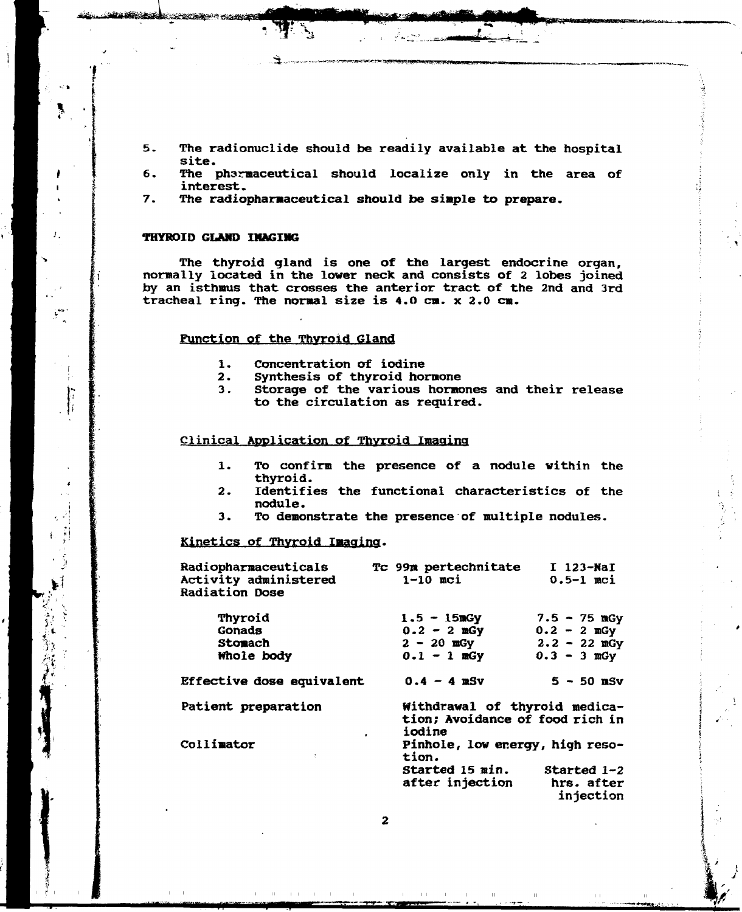5. The radionuclide should be readily available at the hospital site.

*^''i (!^^^^iW^\*\*s<sup>l</sup>*

*^^J«ffMmiBVmmBJnnMW'h^mamm* 

H»frtiStfl»rfrto«;,

- 6. The pharmaceutical should localize only in the area of interest.
- 7. The radiopharmaceutical should be simple to prepare.

#### **THYROID GLAND IMAGING**

فليستعددون والمتطلب والمحاجب

*}* 

**n** 

The thyroid gland is one of the largest endocrine organ, normally located in the lower neck and consists of 2 lobes joined by an isthmus that crosses the anterior tract of the 2nd and 3rd tracheal ring. The normal size is 4.0 cm. x 2.0 cm.

#### Function of the Thyroid Gland

- 1. Concentration of iodine<br>2. Synthesis of thyroid home
- 
- 2. Synthesis of thyroid hormone<br>3. Storage of the various hormo Storage of the various hormones and their release to the circulation as required.

#### Clinical Application Of Thyroid Imaging

- 1. TO confirm the presence of a nodule within the thyroid.
- 2. Identifies the functional characteristics of the nodule.
- 3. To demonstrate the presence of multiple nodules.

#### **Kinetics pf Thyroid Imaging.**

| <b>Radiopharmaceuticals</b><br>Activity administered<br><b>Radiation Dose</b> | Tc 99m pertechnitate<br>$1-10$ mci                                         | $I$ 123-NaI<br>$0.5-1$ mci |  |  |  |
|-------------------------------------------------------------------------------|----------------------------------------------------------------------------|----------------------------|--|--|--|
| Thyroid                                                                       | $1.5 - 15mGy$                                                              | $7.5 - 75$ mGy             |  |  |  |
| <b>Gonads</b>                                                                 | $0.2 - 2$ mGy                                                              | $0.2 - 2$ mGy              |  |  |  |
| <b>Stomach</b>                                                                | $2 - 20$ mGy                                                               | $2.2 - 22$ mGy             |  |  |  |
| Whole body                                                                    | $0.1 - 1$ mGy                                                              | $0.3 - 3$ mGy              |  |  |  |
| Effective dose equivalent                                                     | $0.4 - 4$ mSv                                                              | $5 - 50$ mSv               |  |  |  |
| Patient preparation                                                           | Withdrawal of thyroid medica-<br>tion; Avoidance of food rich in<br>iodine |                            |  |  |  |
| Collimator<br>Ŷ.                                                              | Pinhole, low energy, high reso-<br>tion.                                   |                            |  |  |  |
|                                                                               | Started 15 min.                                                            | Started $1-2$              |  |  |  |
|                                                                               | after injection                                                            | hrs. after<br>injection    |  |  |  |

 $\overline{2}$ 

*ma/mummmiimiHmmmimfKnQt w*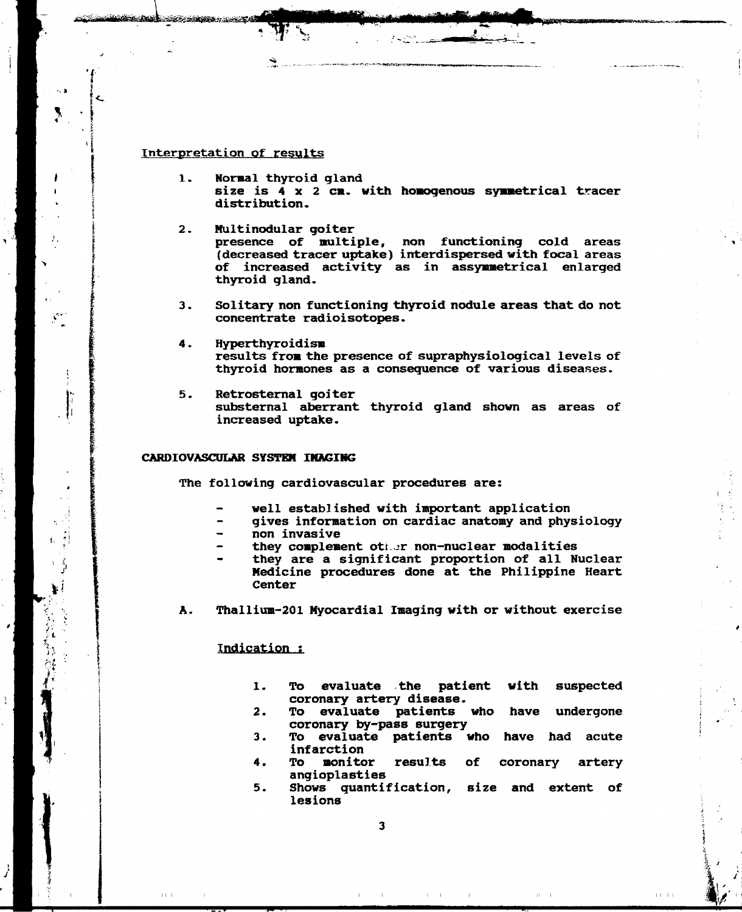#### **Interpretation of results**

**The State of American Property** 

- **1. Normal thyroid gland size is 4 x 2 cm. with homogenous symmetrical tracer distribution.**
- **2. Multinodular goiter presence of multiple, non functioning cold areas (decreased tracer uptake) interdispersed with focal areas of increased activity as in assymmetrical enlarged thyroid gland.**
- **3. Solitary non functioning thyroid nodule areas that do not concentrate radioisotopes.**
- **4. Hyperthyroidism results from the presence of supraphysiological levels of thyroid hormones as a consequence of various diseases.**
- **5. Retrosternal goiter substernal aberrant thyroid gland shown as areas of increased uptake.**

#### **CARDIOVASCULAR SYSTEM IMAGING**

**The following cardiovascular procedures are:** 

- **well established with important application**
- **gives information on cardiac anatomy and physiology**
- **non invasive**
- **they complement oth^r non-nuclear modalities**
- **they are a significant proportion of all Nuclear Medicine procedures done at the Philippine Heart Center**
- **A. Thallium-201 Myocardial Imaging with or without exercise**

#### **indication ;**

- **1. To evaluate the patient with suspected coronary artery disease.**
- **2. To evaluate patients who have undergone coronary by-pass surgery**
- **3. To evaluate patients who have had acute infarction**
- **4. To monitor results of coronary artery angioplasties**
- **5. Shows quantification, size and extent of lesions**

 $11 \times 11$ 

 $1 + 1 + 1$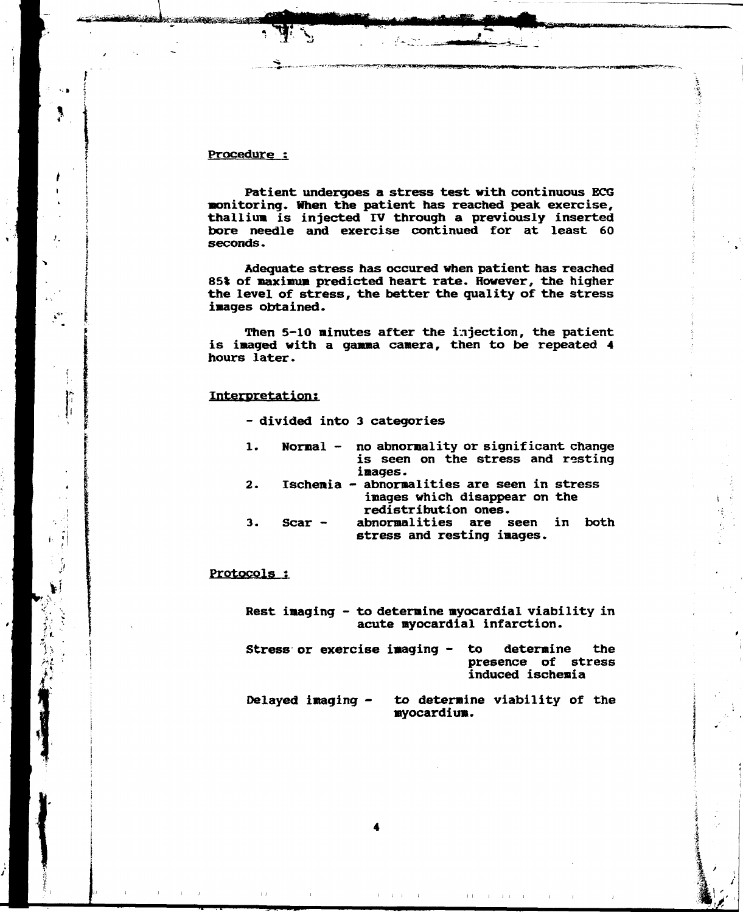#### **Procedure :**

a <del>sa alaman sa mga mga sa</del>

**Patient undergoes a stress test with continuous ECG monitoring. When the patient has reached peak exercise, thallium is injected IV through a previously inserted bore needle and exercise continued for at least 60 seconds.** 

**Adequate stress has occured when patient has reached 85% of maximum predicted heart rate. However, the higher the level of stress, the better the quality of the stress images obtained.** 

**Then 5-10 minutes after the injection, the patient is imaged with a gamma camera, then to be repeated 4 hours later.** 

#### **Interpretation;**

**- divided into 3 categories** 

| 1. |  |         |  |  |  | Normal $-$ no abnormality or significant change |
|----|--|---------|--|--|--|-------------------------------------------------|
|    |  |         |  |  |  | is seen on the stress and resting               |
|    |  | images. |  |  |  |                                                 |

- **2. Ischemia abnormalities are seen in stress images which disappear on the redistribution ones.**
- **3. Scar abnormalities are seen in both stress and resting images.**

#### **Protocols ;**

**Rest imaging - to determine myocardial viability in acute myocardial infarction.** 

- **Stress or exercise imaging to determine the presence of stress induced ischemia**
- **Delayed imaging to determine viability of the myocardium.**

 $1.1-1.1$ 

 $1 - 1$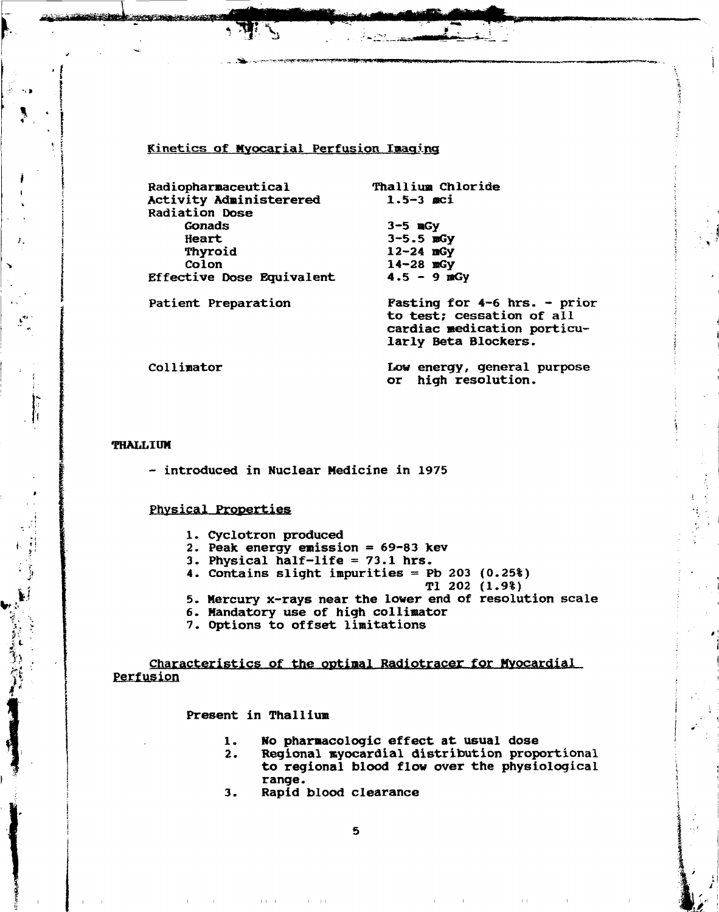# **Kinetics of Myocarial Perfusion Imaging**

" . -,-.™''-^p---«'vc2yr.-ff

| Radiopharmaceutical       | Thallium Chloride              |
|---------------------------|--------------------------------|
| Activity Administerered   | $1.5 - 3$ aci                  |
| <b>Radiation Dose</b>     |                                |
| Gonads                    | $3-5$ mGy                      |
| Heart                     | $3 - 5.5$ mGy                  |
| Thyroid                   | $12 - 24$ mGy                  |
| Colon                     | $14 - 28$ mGy                  |
| Effective Dose Equivalent | $4.5 - 9$ mGy                  |
| Patient Preparation       | Fasting for $4-6$ hrs. - prior |
|                           | to test; cessation of all      |
|                           | cardiac medication porticu-    |
|                           | larly Beta Blockers.           |

**Collimator Low energy, general purpose or high resolution.** 

#### **THALLIUM**

**- introduced in Nuclear Medicine in 1975** 

#### **Physical Properties**

- **Cyclotron produced**
- **Peak energy emission = 69-83 kev**
- **Physical half-life = 73.1 hrs.**
- 4. Contains slight impurities = Pb 203 (0.25%)
	- **Tl 202 (1.9%)**
- **Mercury x-rays near the lower end of resolution scale**
- **Mandatory use of high collimator**
- 

**Characteristics of the optimal Radiotracer for Myocardial perfusion** 

#### **Present in Thallium**

 $\pm 1 \pm 1$  .

- **1. No pharmacologic effect at usual dose**
- **2. Regional myocardial distribution proportional to regional blood flow over the physiological range.**

 $\pm$   $\pm$ 

**3. Rapid blood clearance** 

 $\mathbf{H}=\mathbf{H} \mathbf{H}$ 

5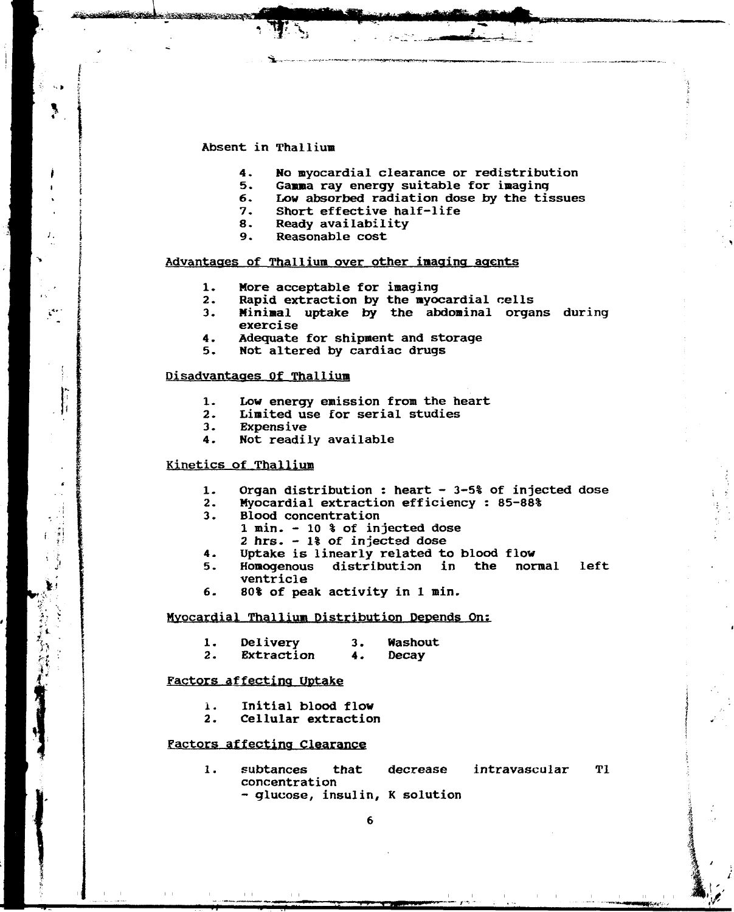# Absent in Thallium

**THE REAL PROPERTY** 

- 4. No myocardial clearance or redistribution<br>5. Gamma ray energy suitable for imaging
- 5. Gamma ray energy suitable for imaging<br>6. Low absorbed radiation dose by the time
- 6. Low absorbed radiation dose by the tissues<br>7. Short effective half-life
- 7. Short effective half-life<br>8. Ready availability
- 8. Ready availability<br>9. Reasonable cost
- 9. Reasonable cost

#### Advantages of Thallium over other imaging agents

- 1. More acceptable for imaging<br>2. Rapid extraction by the myor
- 2. Rapid extraction by the myocardial cells<br>3. Minimal uptake by the abdominal orga:
- Minimal uptake by the abdominal organs during exercise
- 4. Adequate for shipment and storage<br>5. Not altered by cardiac drugs
- Not altered by cardiac drugs

#### Disadvantages Of Thallium

- 1. Low energy emission from the heart<br>2. Limited use for serial studies
- 2. Limited use for serial studies<br>3. Expensive
- 3. Expensive<br>4. Not readi
- Not readily available

# Kinetics of Thallium

- 1. Organ distribution : heart 3-5% of injected dose<br>2. Myocardial extraction efficiency : 85-88%
- 2. Myocardial extraction efficiency : 85-88%
- 3. Blood concentration
	- 1 min. 10 % of injected dose
	- 2 hrs- 1% of injected dose
- 4. Uptake is linearly related to blood flow<br>5. Homogenous distribution in the nor
- distribution in the normal left ventricle
- 6. 80% of peak activity in 1 min.

#### Myocardial Thallium Distribution Depends On:

- 1. Delivery 3. Washout<br>2. Extraction 4. Decay
	- Extraction

#### Factors affecting Uptake

- 1. Initial blood flow<br>2. Cellular extraction
- 2. Cellular extraction

#### Factors affecting Clearance

1. subtances that decrease intravascular Tl concentration - glucose, insulin, K solution

6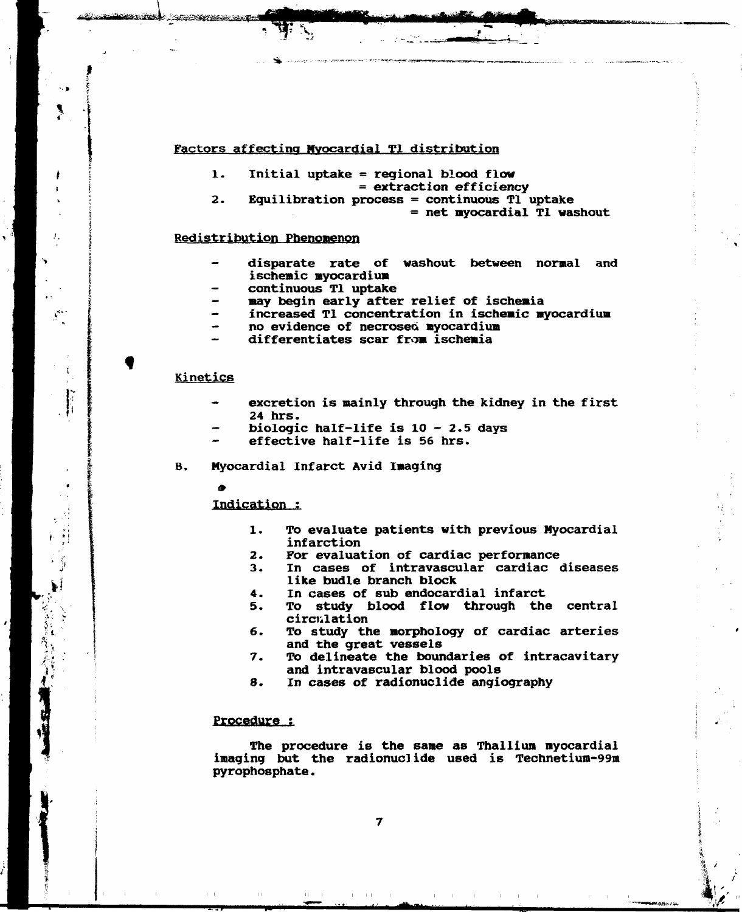#### **Factors affecting Myocardial Tl distribution**

- **1. Initial uptake = regional blood flow**
- **= extraction efficiency**
- **2. Equilibration process = continuous Tl uptake = net myocardial Tl washout**

#### **Redistribution Phenomenon**

- **disparate rate of washout between normal and ischemic myocardium**
- **continuous Tl uptake**
- **may begin early after relief of ischemia**
- **increased Tl concentration in ischemic myocardium**
- **no evidence of necroseo myocardium**
- **differentiates scar from ischemia**

#### **Kinetics**

<u> and green an</u>

- excretion is mainly through the kidney in the first **24 hrs.**
- **biologic half-life is 10 2.5 days**
- **effective half-life is 56 hrs.**
- **B. Myocardial Infarct Avid Imaging** 
	-

**Indication :** 

- **1. To evaluate patients with previous Myocardial infarction**
- **2. For evaluation of cardiac performance**
- **3. In cases of intravascular cardiac diseases like budle branch block**
- **4. In cases of sub endocardial infarct**
- **5. To study blood flow through the central circulation**
- **6. To study the morphology of cardiac arteries and the great vessels**
- **7. To delineate the boundaries of intracavitary and intravascular blood pools**
- **8. In cases of radionuclide angiography**

#### **Procedure ;**

**The procedure is the same as Thallium myocardial imaging but the radionuclide used is Technetium-99m pyrophosphate.** 

 $\pm$  1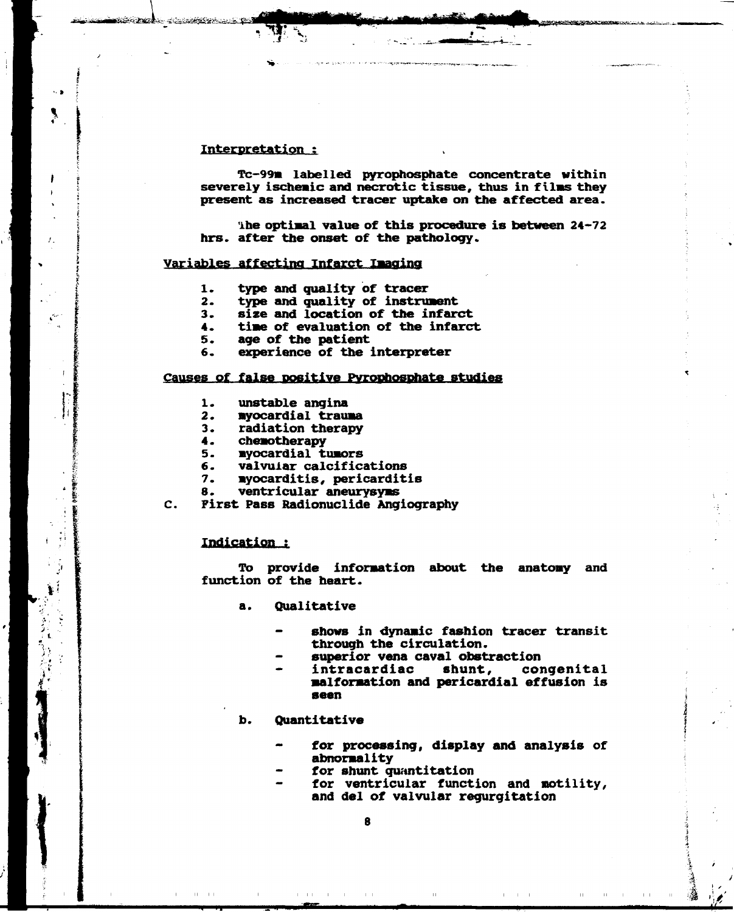#### **Interpretation :**

**Tc-99m labelled pyrophosphate concentrate within severely ischemic and necrotic tissue, thus in films they present as increased tracer uptake on the affected area.** 

**ihe optimal value of this procedure is between 24-72 hrs. after the onset of the pathology.** 

# **Variables affecting Infarct Imaging**

- **1. type and quality of tracer**
- **2. type and quality of instrument**
- 
- **3. size and location of the infarct 4. time of evaluation of the infarct**
- **5. age of the patient**
- **6. experience of the interpreter**

#### **Causes of false positive Pyrophosphate studies**

- **1. unstable angina**
- **2. myocardial trauma**
- **3. radiation therapy**
- **4. chemotherapy**
- **5. myocardial tumors**
- **6. valvular calcifications**
- **7. myocarditis, pericarditis**
- **8. ventricular aneurysyms**
- **c. First Pass Radionuclide Angiography**

#### **indication ?**

**To provide information about the anatomy and function of the heart.** 

- **a. Qualitative** 
	- **shows in dynamic fashion tracer transit through the circulation,**
	- **superior vena caval obstraction**
	- **intracardiac shunt, congenital malformation and pericardial effusion is seen**

#### **b. Quantitative**

- **for processing, display and analysis of abnormality**
- **for shunt quantitation**
- **for ventricular function and motility, and del of valvular regurgitation**

 $\mathbb{H}^+$ 

 $\pm$  1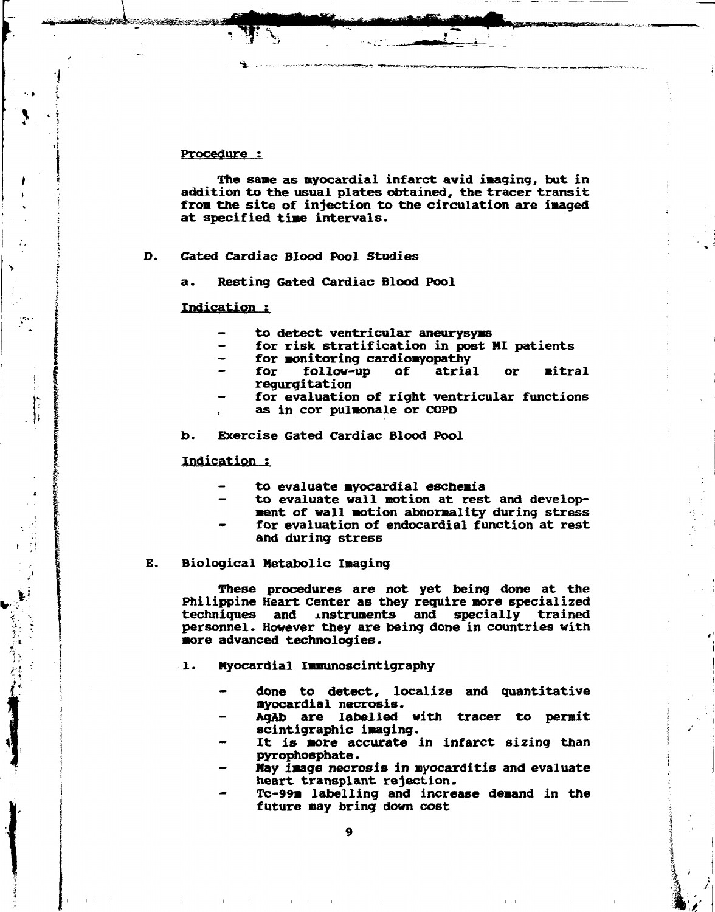#### Procedure :

**<sup>J</sup> . '!** 

*t* 

**The sane as myocardial infarct avid imaging, but in addition to the usual plates obtained, the tracer transit from the site of injection to the circulation are imaged at specified time intervals.** 

D. **Gated Cardiac Blood Pool Studies** 

**rL"'nniiihi1r~"'r''f\*''T \*-'-—' -•-•-^-----j^-.--- MdkUiWHMHia** 

**a. Resting Gated Cardiac Blood Pool** 

#### **Indication ;**

- **to detect ventricular aneurysyms**
- **for risk stratification in post MI patients**
- **for monitoring cardiomyopathy** 
	- follow-up of atrial or mitral **regurgitation**
- **for evaluation of right ventricular functions**
- **as in cor pulmonale or COPD**

**b. Exercise Gated cardiac Blood Pool** 

**Indication** 

- **to evaluate myocardial eschemia**
- **to evaluate wall motion at rest and development of wall motion abnormality during stress**
- for evaluation of endocardial function at rest **and during stress**

#### **E. Biological Metabolic Imaging**

**These procedures are not yet being done at the Philippine Heart Center as they require more specialized techniques and xnstruments and specially trained personnel. However they are being done in countries with more advanced technologies.** 

- **1. Myocardial Immunoscintigraphy** 
	- **done to detect, localize and quantitative myocardial necrosis.**
	- **AgAb are labelled with tracer to permit scintigraphic imaging.**
	- **It is more accurate in infarct sizing than pyrophosphate.**
	- **May image necrosis in myocarditis and evaluate heart transplant rejection.**
	- **Tc-99m labelling and increase demand in the future may bring down cost**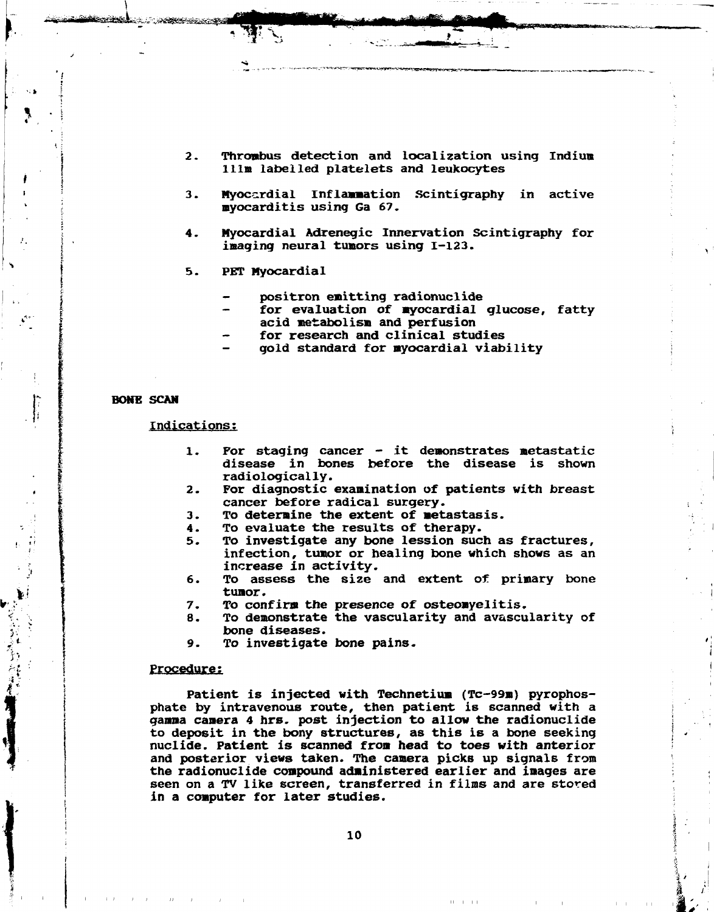- **Thrombus detection and localization using Indium**   $2.$ **111m labelled platelets and leukocytes**
- **Myocardial inflammation Scintigraphy in active**   $3.$ **myocarditis using Ga 67.**
- **Myocardial Adrenegic Innervation Scintigraphy for**  4. **imaging neural tumors using 1-123.**
- **PET Myocardial**   $5.$ 
	- **positron emitting radionuclide**
	- **for evaluation of myocardial glucose, fatty acid metabolism and perfusion**
	- **for research and clinical studies**
	- **gold standard for myocardial viability**

#### **BONE SCAN**

**Indications:** 

- **1. For staging cancer it demonstrates metastatic disease in bones before the disease is shown radiologically.**
- **2. For diagnostic examination of patients with breast cancer before radical surgery.**
- **3. To determine the extent of metastasis.**
- **4. To evaluate the results of therapy.**
- **5. To investigate any bone lession such as fractures, infection, tumor or healing bone which shows as an increase in activity.**
- **6. To assess the size and extent of primary bone tumor.**
- **7. To confirm the presence of osteomyelitis.**
- **8. To demonstrate the vascularity and avascularity of bone diseases.**
- **9. To investigate bone pains.**

#### **procedure?**

**Patient is injected with Technetium (Tc-99m) pyrophosphate by intravenous route, then patient is scanned with a gamma camera 4 hrs. post injection to allow the radionuclide to deposit in the bony structures, as this is a bone seeking nuclide. Patient is scanned from head to toes with anterior and posterior views taken. The camera picks up signals from the radionuclide compound administered earlier and images are seen on a TV like screen, transferred in films and are stored in a computer for later studies.**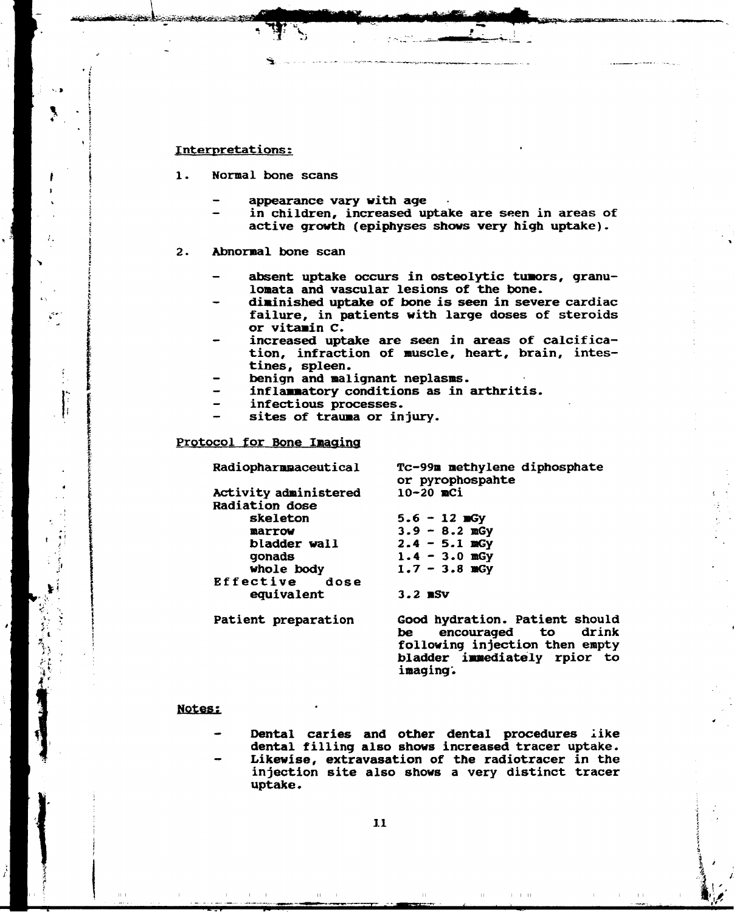#### **Interpretations:**

SSSftsiiSg

**4** 

JH

*\;* ' *<sup>i</sup> ••* , *t-l. •*   $\sum_{i=1}^{N}$ 

•. *:* **\***   $\mathcal{B} \subset \mathcal{A}$  . <sup>1</sup>\* **i** 

- **1. Normal bone scans** 
	- **appearance vary with age**
	- in children, increased uptake are seen in areas of **active growth (epiphyses shows very high uptake).**
- **2. Abnormal bone scan** 
	- **absent uptake occurs in osteolytic tumors, granulomata and vascular lesions of the bone.**
	- **diminished uptake of bone is seen in severe cardiac failure, in patients with large doses of steroids or vitamin C.**
	- increased uptake are seen in areas of calcifica**tion, infraction of muscle, heart, brain, intestines, spleen.**
	- **benign and malignant neplasms.**
	- **inflammatory conditions as in arthritis.**
	- **infectious processes.**
	- **sites of trauma or injury.**

#### **Protocol for Bone Imaging**

**Radiopharmaceutical Tc-99m methylene diphosphate or pyrophospahte Activity administered 10-20 mCi Radiation dose skeleton** 5.6 - 12 mGy<br>marrow 3.9 - 8.2 mGy **marrow** 3.9 - 8.2 mGy<br>bladder wall 2.4 - 5.1 mGy **bladder wall** 2.4 - 5.1 mGy<br>gonads 1.4 - 3.0 mGy **gonads 1.4 - 3.0 mGy whole body 1.7 - 3.8 mGy Effective equivalent 3.2 BSV** 

**Patient preparation Good hydration. Patient should**  encouraged to **following injection then empty bladder immediately rpior to imaging'.** 

 $\Box$ 

 $1 - 1 - 11$ 

**I >** 

 $\mathbf{F}^{\prime}$  ,  $\mathbf{F}^{\prime}$ 

#### **Notes;**

"\*WP

**Dental caries and other dental procedures like dental filling also shows increased tracer uptake. Likewise, extravasation of the radiotracer in the injection site also shows a very distinct tracer uptake.**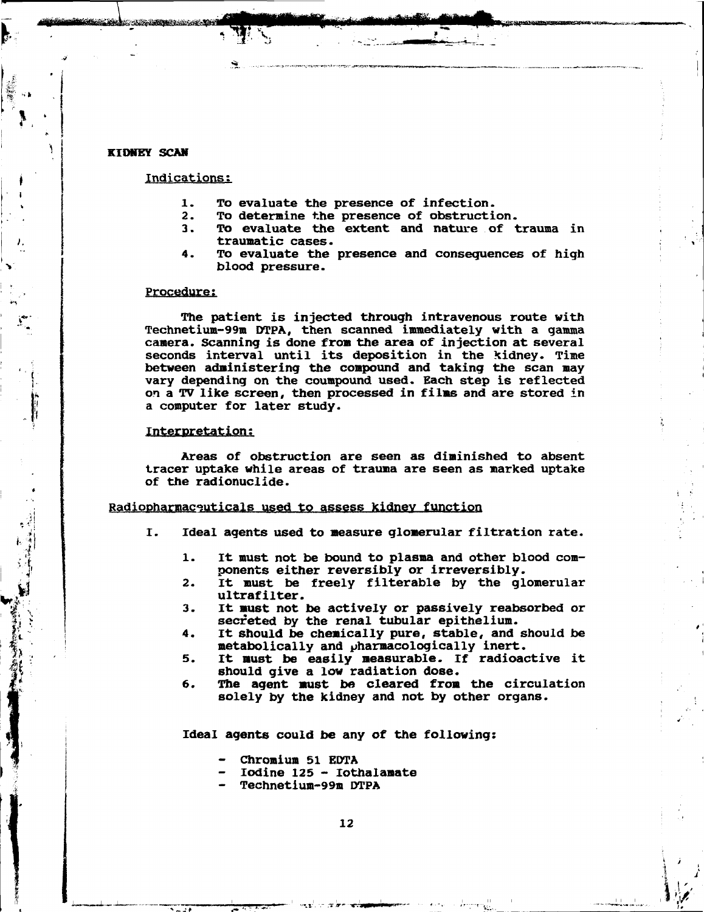#### **KIDNEY SCAN**

**< ,** 

**' (** 

 $\frac{1}{2}$ 

**<sup>l</sup> { ••••**  $\sum_{i=1}^k$ 

#### **Indications;**

- **1. To evaluate the presence of infection.**
- **2. To determine the presence of obstruction.**
- **3. To evaluate the extent and nature of trauma in traumatic cases.**

 $\mathcal{G} \subset \mathcal{M}$  ,  $\mathcal{G} \subset \mathcal{M}$  , which is a function of  $\mathcal{M}$  , and  $\mathcal{M}$ 

 $\mathcal{L}$  is the second continuous function of  $\mathcal{L}$ 

*¥* 

**4. To evaluate the presence and consequences of high blood pressure.** 

#### **Procedure;**

**The patient is injected through intravenous route with Technetium-99m DTPA, then scanned immediately with a gamma camera. Scanning is done from the area of injection at several seconds interval until its deposition in the kidney. Time between administering the compound and taking the scan may vary depending on the coumpound used. Each step is reflected on a** *TV* **like screen, then processed in films and are stored in a computer for later study.** 

#### **Interpretation;**

**Areas of obstruction are seen as diminished to absent tracer uptake while areas of trauma are seen as marked uptake of the radionuclide.** 

#### **Radiopharmaceuticals used to assess kidnev function**

- **I. Ideal agents used to measure glomerular filtration rate.** 
	- **1. It must not be bound to plasma and other blood components either reversibly or irreversibly.**
	- **2. It must be freely filterable by the glomerular ultrafilter.**
	- **3. It must not be actively or passively reabsorbed or secreted by the renal tubular epithelium.**
	- **4. It should be chemically pure, stable, and should be metabolically and pharmacologically inert.**
	- **5. It must be easily measurable. If radioactive it should give a low radiation dose.**
	- **6. The agent must be cleared from the circulation solely by the kidney and not by other organs.**

**Ideal agents could be any of the following:** 

- **Chromium 51 EDTA**
- **Iodine 125 Iothalamate**
- **Technetium-99m DTPA**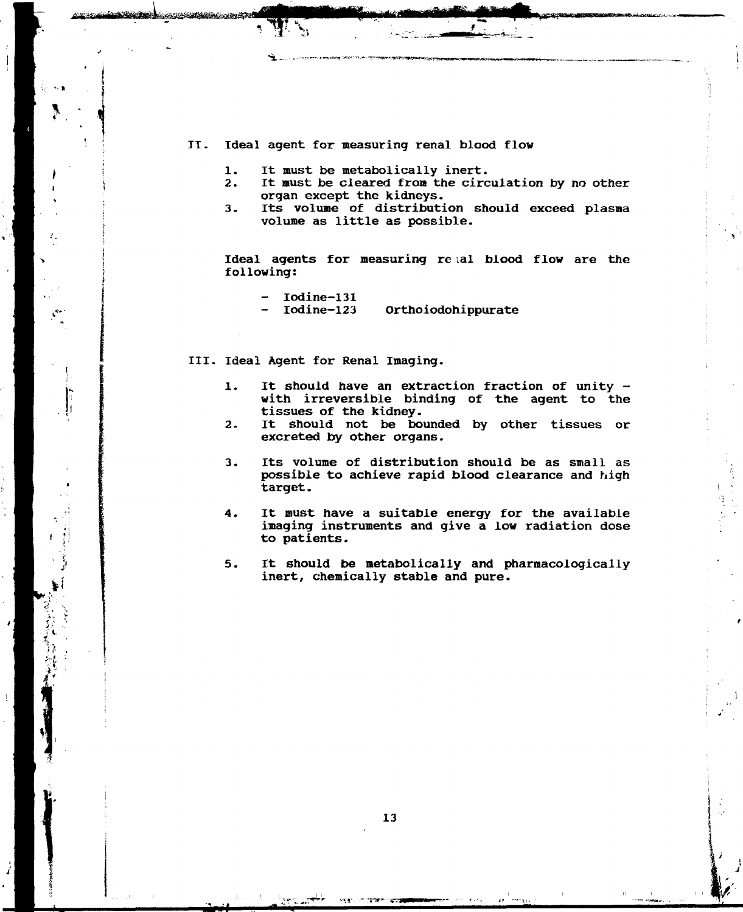#### II. Ideal agent for measuring renal blood flow

1. It must be metabolically inert.<br>2. It must be cleared from the circ

*\*\*%,* **' »' '•-:-•-"-.***r^rtr<r\*','^-:\*r^^ • ™r\*'T\*^f:&^',^m>\*-\*\*-3!<* 

- It must be cleared from the circulation by no other organ except the kidneys.
- 3. Its volume of distribution should exceed plasma volume as little as possible.

Ideal agents for measuring re lal blood flow are the following:

Iodine-131<br>Iodine-123

Orthoiodohippurate

III. Ideal Agent for Renal Imaging.

- 1. It should have an extraction fraction of unity with irreversible binding of the agent to the tissues of the kidney.
- 2. It should not be bounded by other tissues or excreted by other organs.
- 3. Its volume of distribution should be as small as possible to achieve rapid blood clearance and high target.
- 4. It must have a suitable energy for the available imaging instruments and give a low radiation dose to patients.
- 5. It should be metabolically and pharmacologically inert, chemically stable and pure.